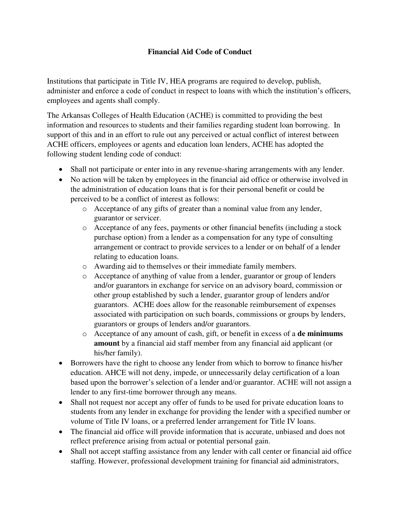## **Financial Aid Code of Conduct**

Institutions that participate in Title IV, HEA programs are required to develop, publish, administer and enforce a code of conduct in respect to loans with which the institution's officers, employees and agents shall comply.

The Arkansas Colleges of Health Education (ACHE) is committed to providing the best information and resources to students and their families regarding student loan borrowing. In support of this and in an effort to rule out any perceived or actual conflict of interest between ACHE officers, employees or agents and education loan lenders, ACHE has adopted the following student lending code of conduct:

- Shall not participate or enter into in any revenue-sharing arrangements with any lender.
- No action will be taken by employees in the financial aid office or otherwise involved in the administration of education loans that is for their personal benefit or could be perceived to be a conflict of interest as follows:
	- o Acceptance of any gifts of greater than a nominal value from any lender, guarantor or servicer.
	- o Acceptance of any fees, payments or other financial benefits (including a stock purchase option) from a lender as a compensation for any type of consulting arrangement or contract to provide services to a lender or on behalf of a lender relating to education loans.
	- o Awarding aid to themselves or their immediate family members.
	- o Acceptance of anything of value from a lender, guarantor or group of lenders and/or guarantors in exchange for service on an advisory board, commission or other group established by such a lender, guarantor group of lenders and/or guarantors. ACHE does allow for the reasonable reimbursement of expenses associated with participation on such boards, commissions or groups by lenders, guarantors or groups of lenders and/or guarantors.
	- o Acceptance of any amount of cash, gift, or benefit in excess of a **de minimums amount** by a financial aid staff member from any financial aid applicant (or his/her family).
- Borrowers have the right to choose any lender from which to borrow to finance his/her education. AHCE will not deny, impede, or unnecessarily delay certification of a loan based upon the borrower's selection of a lender and/or guarantor. ACHE will not assign a lender to any first-time borrower through any means.
- Shall not request nor accept any offer of funds to be used for private education loans to students from any lender in exchange for providing the lender with a specified number or volume of Title IV loans, or a preferred lender arrangement for Title IV loans.
- The financial aid office will provide information that is accurate, unbiased and does not reflect preference arising from actual or potential personal gain.
- Shall not accept staffing assistance from any lender with call center or financial aid office staffing. However, professional development training for financial aid administrators,